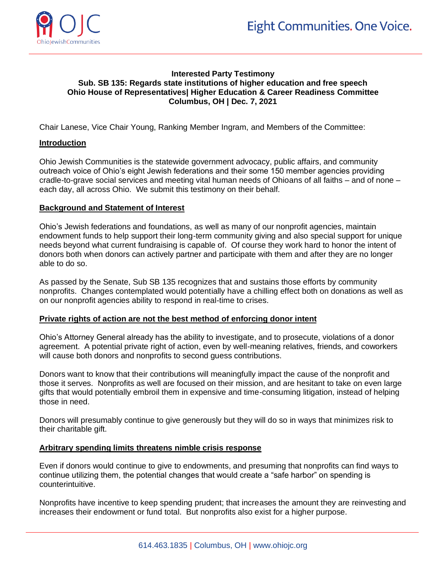



# **Interested Party Testimony Sub. SB 135: Regards state institutions of higher education and free speech Ohio House of Representatives| Higher Education & Career Readiness Committee Columbus, OH | Dec. 7, 2021**

Chair Lanese, Vice Chair Young, Ranking Member Ingram, and Members of the Committee:

## **Introduction**

Ohio Jewish Communities is the statewide government advocacy, public affairs, and community outreach voice of Ohio's eight Jewish federations and their some 150 member agencies providing cradle-to-grave social services and meeting vital human needs of Ohioans of all faiths – and of none – each day, all across Ohio. We submit this testimony on their behalf.

### **Background and Statement of Interest**

Ohio's Jewish federations and foundations, as well as many of our nonprofit agencies, maintain endowment funds to help support their long-term community giving and also special support for unique needs beyond what current fundraising is capable of. Of course they work hard to honor the intent of donors both when donors can actively partner and participate with them and after they are no longer able to do so.

As passed by the Senate, Sub SB 135 recognizes that and sustains those efforts by community nonprofits. Changes contemplated would potentially have a chilling effect both on donations as well as on our nonprofit agencies ability to respond in real-time to crises.

#### **Private rights of action are not the best method of enforcing donor intent**

Ohio's Attorney General already has the ability to investigate, and to prosecute, violations of a donor agreement. A potential private right of action, even by well-meaning relatives, friends, and coworkers will cause both donors and nonprofits to second guess contributions.

Donors want to know that their contributions will meaningfully impact the cause of the nonprofit and those it serves. Nonprofits as well are focused on their mission, and are hesitant to take on even large gifts that would potentially embroil them in expensive and time-consuming litigation, instead of helping those in need.

Donors will presumably continue to give generously but they will do so in ways that minimizes risk to their charitable gift.

# **Arbitrary spending limits threatens nimble crisis response**

Even if donors would continue to give to endowments, and presuming that nonprofits can find ways to continue utilizing them, the potential changes that would create a "safe harbor" on spending is counterintuitive.

Nonprofits have incentive to keep spending prudent; that increases the amount they are reinvesting and increases their endowment or fund total. But nonprofits also exist for a higher purpose.